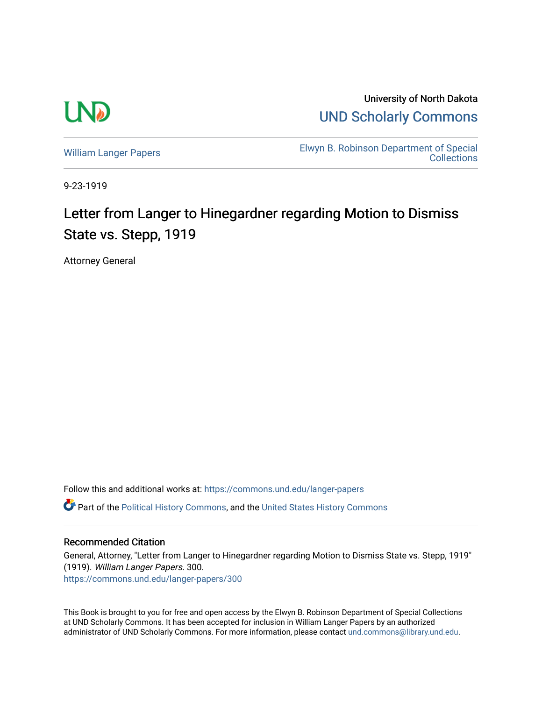

University of North Dakota [UND Scholarly Commons](https://commons.und.edu/) 

[William Langer Papers](https://commons.und.edu/langer-papers) **Elwyn B. Robinson Department of Special** [Collections](https://commons.und.edu/archives) 

9-23-1919

## Letter from Langer to Hinegardner regarding Motion to Dismiss State vs. Stepp, 1919

Attorney General

Follow this and additional works at: [https://commons.und.edu/langer-papers](https://commons.und.edu/langer-papers?utm_source=commons.und.edu%2Flanger-papers%2F300&utm_medium=PDF&utm_campaign=PDFCoverPages)  **C** Part of the [Political History Commons,](http://network.bepress.com/hgg/discipline/505?utm_source=commons.und.edu%2Flanger-papers%2F300&utm_medium=PDF&utm_campaign=PDFCoverPages) and the [United States History Commons](http://network.bepress.com/hgg/discipline/495?utm_source=commons.und.edu%2Flanger-papers%2F300&utm_medium=PDF&utm_campaign=PDFCoverPages)

## Recommended Citation

General, Attorney, "Letter from Langer to Hinegardner regarding Motion to Dismiss State vs. Stepp, 1919" (1919). William Langer Papers. 300. [https://commons.und.edu/langer-papers/300](https://commons.und.edu/langer-papers/300?utm_source=commons.und.edu%2Flanger-papers%2F300&utm_medium=PDF&utm_campaign=PDFCoverPages) 

This Book is brought to you for free and open access by the Elwyn B. Robinson Department of Special Collections at UND Scholarly Commons. It has been accepted for inclusion in William Langer Papers by an authorized administrator of UND Scholarly Commons. For more information, please contact [und.commons@library.und.edu.](mailto:und.commons@library.und.edu)